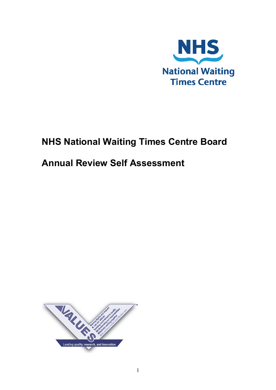

# **NHS National Waiting Times Centre Board**

# **Annual Review Self Assessment**

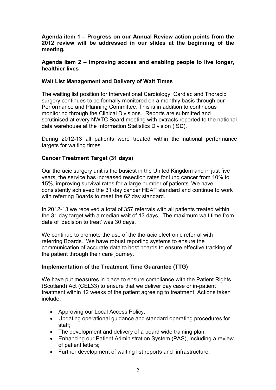**Agenda item 1 – Progress on our Annual Review action points from the 2012 review will be addressed in our slides at the beginning of the meeting.** 

#### **Agenda Item 2 – Improving access and enabling people to live longer, healthier lives**

## **Wait List Management and Delivery of Wait Times**

The waiting list position for Interventional Cardiology, Cardiac and Thoracic surgery continues to be formally monitored on a monthly basis through our Performance and Planning Committee. This is in addition to continuous monitoring through the Clinical Divisions. Reports are submitted and scrutinised at every NWTC Board meeting with extracts reported to the national data warehouse at the Information Statistics Division (ISD).

During 2012-13 all patients were treated within the national performance targets for waiting times.

## **Cancer Treatment Target (31 days)**

Our thoracic surgery unit is the busiest in the United Kingdom and in just five years, the service has increased resection rates for lung cancer from 10% to 15%, improving survival rates for a large number of patients. We have consistently achieved the 31 day cancer HEAT standard and continue to work with referring Boards to meet the 62 day standard.

In 2012-13 we received a total of 357 referrals with all patients treated within the 31 day target with a median wait of 13 days. The maximum wait time from date of 'decision to treat' was 30 days.

We continue to promote the use of the thoracic electronic referral with referring Boards. We have robust reporting systems to ensure the communication of accurate data to host boards to ensure effective tracking of the patient through their care journey.

## **Implementation of the Treatment Time Guarantee (TTG)**

We have put measures in place to ensure compliance with the Patient Rights (Scotland) Act (CEL33) to ensure that we deliver day case or in-patient treatment within 12 weeks of the patient agreeing to treatment. Actions taken include:

- Approving our Local Access Policy;
- Updating operational guidance and standard operating procedures for staff;
- The development and delivery of a board wide training plan;
- Enhancing our Patient Administration System (PAS), including a review of patient letters;
- Further development of waiting list reports and infrastructure;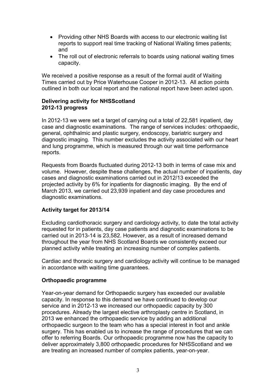- Providing other NHS Boards with access to our electronic waiting list reports to support real time tracking of National Waiting times patients; and
- The roll out of electronic referrals to boards using national waiting times capacity.

We received a positive response as a result of the formal audit of Waiting Times carried out by Price Waterhouse Cooper in 2012-13. All action points outlined in both our local report and the national report have been acted upon.

## **Delivering activity for NHSScotland 2012-13 progress**

In 2012-13 we were set a target of carrying out a total of 22,581 inpatient, day case and diagnostic examinations. The range of services includes: orthopaedic, general, ophthalmic and plastic surgery, endoscopy, bariatric surgery and diagnostic imaging. This number excludes the activity associated with our heart and lung programme, which is measured through our wait time performance reports.

Requests from Boards fluctuated during 2012-13 both in terms of case mix and volume. However, despite these challenges, the actual number of inpatients, day cases and diagnostic examinations carried out in 2012/13 exceeded the projected activity by 6% for inpatients for diagnostic imaging. By the end of March 2013, we carried out 23,939 inpatient and day case procedures and diagnostic examinations.

## **Activity target for 2013/14**

Excluding cardiothoracic surgery and cardiology activity, to date the total activity requested for in patients, day case patients and diagnostic examinations to be carried out in 2013-14 is 23,582. However, as a result of increased demand throughout the year from NHS Scotland Boards we consistently exceed our planned activity while treating an increasing number of complex patients.

Cardiac and thoracic surgery and cardiology activity will continue to be managed in accordance with waiting time guarantees.

## **Orthopaedic programme**

Year-on-year demand for Orthopaedic surgery has exceeded our available capacity. In response to this demand we have continued to develop our service and in 2012-13 we increased our orthopaedic capacity by 300 procedures. Already the largest elective arthroplasty centre in Scotland, in 2013 we enhanced the orthopaedic service by adding an additional orthopaedic surgeon to the team who has a special interest in foot and ankle surgery. This has enabled us to increase the range of procedures that we can offer to referring Boards. Our orthopaedic programme now has the capacity to deliver approximately 3,800 orthopaedic procedures for NHSScotland and we are treating an increased number of complex patients, year-on-year.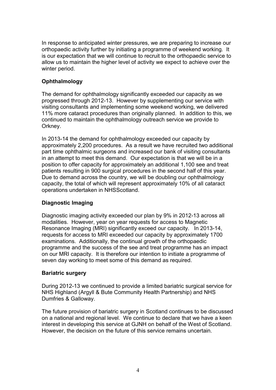In response to anticipated winter pressures, we are preparing to increase our orthopaedic activity further by initiating a programme of weekend working. It is our expectation that we will continue to recruit to the orthopaedic service to allow us to maintain the higher level of activity we expect to achieve over the winter period.

## **Ophthalmology**

The demand for ophthalmology significantly exceeded our capacity as we progressed through 2012-13. However by supplementing our service with visiting consultants and implementing some weekend working, we delivered 11% more cataract procedures than originally planned. In addition to this, we continued to maintain the ophthalmology outreach service we provide to Orkney.

In 2013-14 the demand for ophthalmology exceeded our capacity by approximately 2,200 procedures. As a result we have recruited two additional part time ophthalmic surgeons and increased our bank of visiting consultants in an attempt to meet this demand. Our expectation is that we will be in a position to offer capacity for approximately an additional 1,100 see and treat patients resulting in 900 surgical procedures in the second half of this year. Due to demand across the country, we will be doubling our ophthalmology capacity, the total of which will represent approximately 10% of all cataract operations undertaken in NHSScotland.

## **Diagnostic Imaging**

Diagnostic imaging activity exceeded our plan by 9% in 2012-13 across all modalities. However, year on year requests for access to Magnetic Resonance Imaging (MRI) significantly exceed our capacity. In 2013-14, requests for access to MRI exceeded our capacity by approximately 1700 examinations. Additionally, the continual growth of the orthopaedic programme and the success of the see and treat programme has an impact on our MRI capacity. It is therefore our intention to initiate a programme of seven day working to meet some of this demand as required.

## **Bariatric surgery**

During 2012-13 we continued to provide a limited bariatric surgical service for NHS Highland (Argyll & Bute Community Health Partnership) and NHS Dumfries & Galloway.

The future provision of bariatric surgery in Scotland continues to be discussed on a national and regional level. We continue to declare that we have a keen interest in developing this service at GJNH on behalf of the West of Scotland. However, the decision on the future of this service remains uncertain.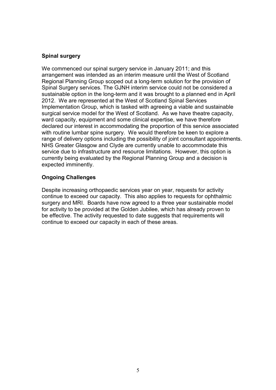## **Spinal surgery**

We commenced our spinal surgery service in January 2011; and this arrangement was intended as an interim measure until the West of Scotland Regional Planning Group scoped out a long-term solution for the provision of Spinal Surgery services. The GJNH interim service could not be considered a sustainable option in the long-term and it was brought to a planned end in April 2012. We are represented at the West of Scotland Spinal Services Implementation Group, which is tasked with agreeing a viable and sustainable surgical service model for the West of Scotland. As we have theatre capacity, ward capacity, equipment and some clinical expertise, we have therefore declared our interest in accommodating the proportion of this service associated with routine lumbar spine surgery. We would therefore be keen to explore a range of delivery options including the possibility of joint consultant appointments. NHS Greater Glasgow and Clyde are currently unable to accommodate this service due to infrastructure and resource limitations. However, this option is currently being evaluated by the Regional Planning Group and a decision is expected imminently.

## **Ongoing Challenges**

Despite increasing orthopaedic services year on year, requests for activity continue to exceed our capacity. This also applies to requests for ophthalmic surgery and MRI. Boards have now agreed to a three year sustainable model for activity to be provided at the Golden Jubilee, which has already proven to be effective. The activity requested to date suggests that requirements will continue to exceed our capacity in each of these areas.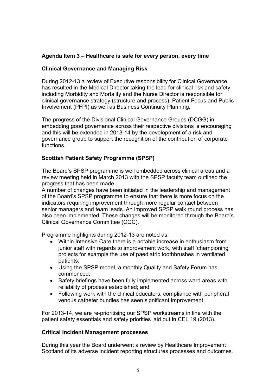## **Agenda Item 3 – Healthcare is safe for every person, every time**

### **Clinical Governance and Managing Risk**

During 2012-13 a review of Executive responsibility for Clinical Governance has resulted in the Medical Director taking the lead for clinical risk and safety including Morbidity and Mortality and the Nurse Director is responsible for clinical governance strategy (structure and process), Patient Focus and Public Involvement (PFPI) as well as Business Continuity Planning.

The progress of the Divisional Clinical Governance Groups (DCGG) in embedding good governance across their respective divisions is encouraging and this will be extended in 2013-14 by the development of a risk and governance group to support the recognition of the contribution of corporate functions.

## **Scottish Patient Safety Programme (SPSP)**

The Board's SPSP programme is well embedded across clinical areas and a review meeting held in March 2013 with the SPSP faculty team outlined the progress that has been made.

A number of changes have been initiated in the leadership and management of the Board's SPSP programme to ensure that there is more focus on the indicators requiring improvement through more regular contact between senior managers and team leads. An improved SPSP walk round process has also been implemented. These changes will be monitored through the Board's Clinical Governance Committee (CGC).

Programme highlights during 2012-13 are noted as:

- Within Intensive Care there is a notable increase in enthusiasm from junior staff with regards to improvement work, with staff 'championing' projects for example the use of paediatric toothbrushes in ventilated patients;
- Using the SPSP model, a monthly Quality and Safety Forum has commenced;
- Safety briefings have been fully implemented across ward areas with reliability of process established; and
- Following work with the clinical educators, compliance with peripheral venous catheter bundles has seen significant improvement.

For 2013-14, we are re-prioritising our SPSP workstreams in line with the patient safety essentials and safety priorities laid out in CEL 19 (2013).

### **Critical Incident Management processes**

During this year the Board underwent a review by Healthcare Improvement Scotland of its adverse incident reporting structures processes and outcomes.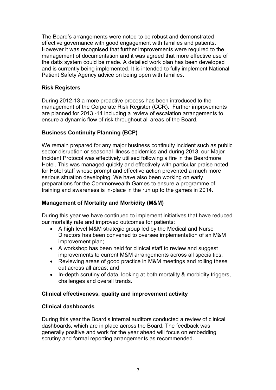The Board's arrangements were noted to be robust and demonstrated effective governance with good engagement with families and patients. However it was recognised that further improvements were required to the management of documentation and it was agreed that more effective use of the datix system could be made. A detailed work plan has been developed and is currently being implemented. It is intended to fully implement National Patient Safety Agency advice on being open with families.

## **Risk Registers**

During 2012-13 a more proactive process has been introduced to the management of the Corporate Risk Register (CCR). Further improvements are planned for 2013 -14 including a review of escalation arrangements to ensure a dynamic flow of risk throughout all areas of the Board.

# **Business Continuity Planning (BCP)**

We remain prepared for any major business continuity incident such as public sector disruption or seasonal illness epidemics and during 2013, our Major Incident Protocol was effectively utilised following a fire in the Beardmore Hotel. This was managed quickly and effectively with particular praise noted for Hotel staff whose prompt and effective action prevented a much more serious situation developing. We have also been working on early preparations for the Commonwealth Games to ensure a programme of training and awareness is in-place in the run up to the games in 2014.

## **Management of Mortality and Morbidity (M&M)**

During this year we have continued to implement initiatives that have reduced our mortality rate and improved outcomes for patients:

- A high level M&M strategic group led by the Medical and Nurse Directors has been convened to oversee implementation of an M&M improvement plan;
- A workshop has been held for clinical staff to review and suggest improvements to current M&M arrangements across all specialties;
- Reviewing areas of good practice in M&M meetings and rolling these out across all areas; and
- In-depth scrutiny of data, looking at both mortality & morbidity triggers, challenges and overall trends.

## **Clinical effectiveness, quality and improvement activity**

## **Clinical dashboards**

During this year the Board's internal auditors conducted a review of clinical dashboards, which are in place across the Board. The feedback was generally positive and work for the year ahead will focus on embedding scrutiny and formal reporting arrangements as recommended.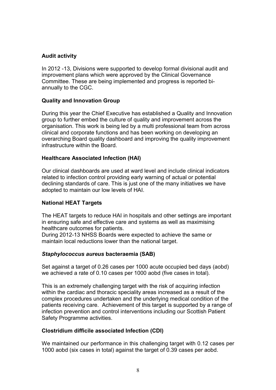## **Audit activity**

In 2012 -13, Divisions were supported to develop formal divisional audit and improvement plans which were approved by the Clinical Governance Committee. These are being implemented and progress is reported biannually to the CGC.

### **Quality and Innovation Group**

During this year the Chief Executive has established a Quality and Innovation group to further embed the culture of quality and improvement across the organisation. This work is being led by a multi professional team from across clinical and corporate functions and has been working on developing an overarching Board quality dashboard and improving the quality improvement infrastructure within the Board.

### **Healthcare Associated Infection (HAI)**

Our clinical dashboards are used at ward level and include clinical indicators related to infection control providing early warning of actual or potential declining standards of care. This is just one of the many initiatives we have adopted to maintain our low levels of HAI.

## **National HEAT Targets**

The HEAT targets to reduce HAI in hospitals and other settings are important in ensuring safe and effective care and systems as well as maximising healthcare outcomes for patients.

During 2012-13 NHSS Boards were expected to achieve the same or maintain local reductions lower than the national target.

### *Staphylococcus aureus* **bacteraemia (SAB)**

Set against a target of 0.26 cases per 1000 acute occupied bed days (aobd) we achieved a rate of 0.10 cases per 1000 aobd (five cases in total).

This is an extremely challenging target with the risk of acquiring infection within the cardiac and thoracic speciality areas increased as a result of the complex procedures undertaken and the underlying medical condition of the patients receiving care. Achievement of this target is supported by a range of infection prevention and control interventions including our Scottish Patient Safety Programme activities.

## **Clostridium difficile associated Infection (CDI)**

We maintained our performance in this challenging target with 0.12 cases per 1000 aobd (six cases in total) against the target of 0.39 cases per aobd.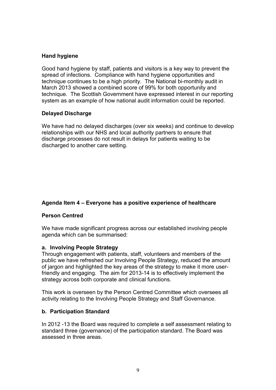## **Hand hygiene**

Good hand hygiene by staff, patients and visitors is a key way to prevent the spread of infections. Compliance with hand hygiene opportunities and technique continues to be a high priority. The National bi-monthly audit in March 2013 showed a combined score of 99% for both opportunity and technique. The Scottish Government have expressed interest in our reporting system as an example of how national audit information could be reported.

## **Delayed Discharge**

We have had no delayed discharges (over six weeks) and continue to develop relationships with our NHS and local authority partners to ensure that discharge processes do not result in delays for patients waiting to be discharged to another care setting.

## **Agenda Item 4 – Everyone has a positive experience of healthcare**

### **Person Centred**

We have made significant progress across our established involving people agenda which can be summarised:

### **a. Involving People Strategy**

Through engagement with patients, staff, volunteers and members of the public we have refreshed our Involving People Strategy, reduced the amount of jargon and highlighted the key areas of the strategy to make it more userfriendly and engaging. The aim for 2013-14 is to effectively implement the strategy across both corporate and clinical functions.

This work is overseen by the Person Centred Committee which oversees all activity relating to the Involving People Strategy and Staff Governance.

### **b. Participation Standard**

In 2012 -13 the Board was required to complete a self assessment relating to standard three (governance) of the participation standard. The Board was assessed in three areas.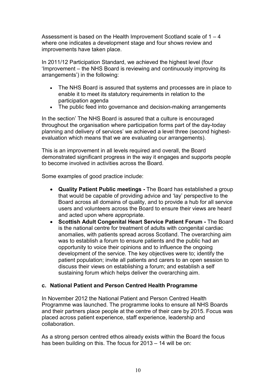Assessment is based on the Health Improvement Scotland scale of  $1 - 4$ where one indicates a development stage and four shows review and improvements have taken place.

In 2011/12 Participation Standard, we achieved the highest level (four 'Improvement – the NHS Board is reviewing and continuously improving its arrangements') in the following:

- The NHS Board is assured that systems and processes are in place to enable it to meet its statutory requirements in relation to the participation agenda
- The public feed into governance and decision-making arrangements

In the section' The NHS Board is assured that a culture is encouraged throughout the organisation where participation forms part of the day-today planning and delivery of services' we achieved a level three (second highestevaluation which means that we are evaluating our arrangements).

This is an improvement in all levels required and overall, the Board demonstrated significant progress in the way it engages and supports people to become involved in activities across the Board.

Some examples of good practice include:

- **Quality Patient Public meetings** The Board has established a group that would be capable of providing advice and 'lay' perspective to the Board across all domains of quality, and to provide a hub for all service users and volunteers across the Board to ensure their views are heard and acted upon where appropriate.
- **Scottish Adult Congenital Heart Service Patient Forum** The Board is the national centre for treatment of adults with congenital cardiac anomalies, with patients spread across Scotland. The overarching aim was to establish a forum to ensure patients and the public had an opportunity to voice their opinions and to influence the ongoing development of the service. The key objectives were to; identify the patient population; invite all patients and carers to an open session to discuss their views on establishing a forum; and establish a self sustaining forum which helps deliver the overarching aim.

### **c. National Patient and Person Centred Health Programme**

In November 2012 the National Patient and Person Centred Health Programme was launched. The programme looks to ensure all NHS Boards and their partners place people at the centre of their care by 2015. Focus was placed across patient experience, staff experience, leadership and collaboration.

As a strong person centred ethos already exists within the Board the focus has been building on this. The focus for 2013 – 14 will be on: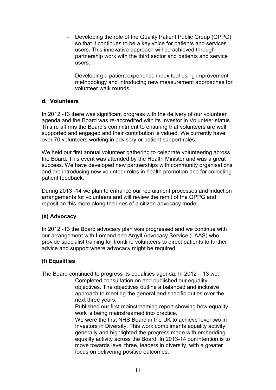- − Developing the role of the Quality Patient Public Group (QPPG) so that it continues to be a key voice for patients and services users. This innovative approach will be achieved through partnership work with the third sector and patients and service users.
- − Developing a patient experience index tool using improvement methodology and introducing new measurement approaches for volunteer walk rounds.

## **d. Volunteers**

In 2012 -13 there was significant progress with the delivery of our volunteer agenda and the Board was re-accredited with its Investor in Volunteer status. This re affirms the Board's commitment to ensuring that volunteers are well supported and engaged and their contribution is valued. We currently have over 70 volunteers working in advisory or patient support roles.

We held our first annual volunteer gathering to celebrate volunteering across the Board. This event was attended by the Health Minister and was a great success. We have developed new partnerships with community organisations and are introducing new volunteer roles in health promotion and for collecting patient feedback.

During 2013 -14 we plan to enhance our recruitment processes and induction arrangements for volunteers and will review the remit of the QPPG and reposition this more along the lines of a citizen advocacy model.

### **(e) Advocacy**

In 2012 -13 the Board advocacy plan was progressed and we continue with our arrangement with Lomond and Argyll Advocacy Service (LAAS) who provide specialist training for frontline volunteers to direct patients to further advice and support where advocacy might be required.

## **(f) Equalities**

The Board continued to progress its equalities agenda. In 2012 – 13 we;

- − Completed consultation on and published our equality objectives. The objectives outline a balanced and inclusive approach to meeting the general and specific duties over the next three years.
- − Published our first mainstreaming report showing how equality work is being mainstreamed into practice.
- − We were the first NHS Board in the UK to achieve level two in Investors in Diversity. This work compliments equality activity generally and highlighted the progress made with embedding equality activity across the Board. In 2013-14 our intention is to move towards level three, leaders in diversity, with a greater focus on delivering positive outcomes.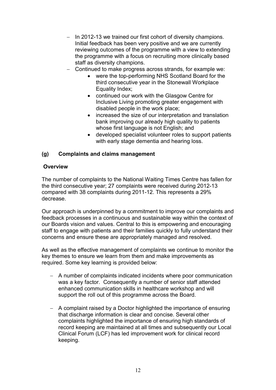- − In 2012-13 we trained our first cohort of diversity champions. Initial feedback has been very positive and we are currently reviewing outcomes of the programme with a view to extending the programme with a focus on recruiting more clinically based staff as diversity champions.
- − Continued to make progress across strands, for example we:
	- were the top-performing NHS Scotland Board for the third consecutive year in the Stonewall Workplace Equality Index;
	- continued our work with the Glasgow Centre for Inclusive Living promoting greater engagement with disabled people in the work place;
	- increased the size of our interpretation and translation bank improving our already high quality to patients whose first language is not English; and
	- developed specialist volunteer roles to support patients with early stage dementia and hearing loss.

## **(g) Complaints and claims management**

## **Overview**

The number of complaints to the National Waiting Times Centre has fallen for the third consecutive year; 27 complaints were received during 2012-13 compared with 38 complaints during 2011-12. This represents a 29% decrease.

Our approach is underpinned by a commitment to improve our complaints and feedback processes in a continuous and sustainable way within the context of our Boards vision and values. Central to this is empowering and encouraging staff to engage with patients and their families quickly to fully understand their concerns and ensure these are appropriately managed and resolved.

As well as the effective management of complaints we continue to monitor the key themes to ensure we learn from them and make improvements as required. Some key learning is provided below:

- − A number of complaints indicated incidents where poor communication was a key factor. Consequently a number of senior staff attended enhanced communication skills in healthcare workshop and will support the roll out of this programme across the Board.
- − A complaint raised by a Doctor highlighted the importance of ensuring that discharge information is clear and concise. Several other complaints highlighted the importance of ensuring high standards of record keeping are maintained at all times and subsequently our Local Clinical Forum (LCF) has led improvement work for clinical record keeping.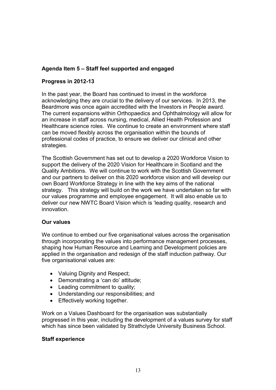## **Agenda Item 5 – Staff feel supported and engaged**

## **Progress in 2012-13**

In the past year, the Board has continued to invest in the workforce acknowledging they are crucial to the delivery of our services. In 2013, the Beardmore was once again accredited with the Investors in People award. The current expansions within Orthopaedics and Ophthalmology will allow for an increase in staff across nursing, medical, Allied Health Profession and Healthcare science roles. We continue to create an environment where staff can be moved flexibly across the organisation within the bounds of professional codes of practice, to ensure we deliver our clinical and other strategies.

The Scottish Government has set out to develop a 2020 Workforce Vision to support the delivery of the 2020 Vision for Healthcare in Scotland and the Quality Ambitions. We will continue to work with the Scottish Government and our partners to deliver on this 2020 workforce vision and will develop our own Board Workforce Strategy in line with the key aims of the national strategy. This strategy will build on the work we have undertaken so far with our values programme and employee engagement. It will also enable us to deliver our new NWTC Board Vision which is 'leading quality, research and innovation.

### **Our values**

We continue to embed our five organisational values across the organisation through incorporating the values into performance management processes, shaping how Human Resource and Learning and Development policies are applied in the organisation and redesign of the staff induction pathway. Our five organisational values are:

- Valuing Dignity and Respect;
- Demonstrating a 'can do' attitude;
- Leading commitment to quality;
- Understanding our responsibilities; and
- Effectively working together.

Work on a Values Dashboard for the organisation was substantially progressed in this year, including the development of a values survey for staff which has since been validated by Strathclyde University Business School.

## **Staff experience**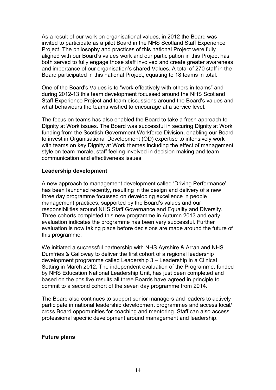As a result of our work on organisational values, in 2012 the Board was invited to participate as a pilot Board in the NHS Scotland Staff Experience Project. The philosophy and practices of this national Project were fully aligned with our Board's values work and our participation in this Project has both served to fully engage those staff involved and create greater awareness and importance of our organisation's shared Values. A total of 270 staff in the Board participated in this national Project, equating to 18 teams in total.

One of the Board's Values is to "work effectively with others in teams" and during 2012-13 this team development focussed around the NHS Scotland Staff Experience Project and team discussions around the Board's values and what behaviours the teams wished to encourage at a service level.

The focus on teams has also enabled the Board to take a fresh approach to Dignity at Work issues. The Board was successful in securing Dignity at Work funding from the Scottish Government Workforce Division, enabling our Board to invest in Organisational Development (OD) expertise to intensively work with teams on key Dignity at Work themes including the effect of management style on team morale, staff feeling involved in decision making and team communication and effectiveness issues.

### **Leadership development**

A new approach to management development called 'Driving Performance' has been launched recently, resulting in the design and delivery of a new three day programme focussed on developing excellence in people management practices, supported by the Board's values and our responsibilities around NHS Staff Governance and Equality and Diversity. Three cohorts completed this new programme in Autumn 2013 and early evaluation indicates the programme has been very successful. Further evaluation is now taking place before decisions are made around the future of this programme.

We initiated a successful partnership with NHS Ayrshire & Arran and NHS Dumfries & Galloway to deliver the first cohort of a regional leadership development programme called Leadership 3 – Leadership in a Clinical Setting in March 2012. The independent evaluation of the Programme, funded by NHS Education National Leadership Unit, has just been completed and based on the positive results all three Boards have agreed in principle to commit to a second cohort of the seven day programme from 2014.

The Board also continues to support senior managers and leaders to actively participate in national leadership development programmes and access local/ cross Board opportunities for coaching and mentoring. Staff can also access professional specific development around management and leadership.

### **Future plans**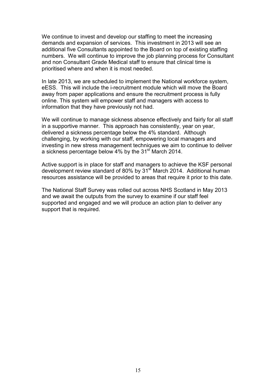We continue to invest and develop our staffing to meet the increasing demands and expansion of services. This investment in 2013 will see an additional five Consultants appointed to the Board on top of existing staffing numbers. We will continue to improve the job planning process for Consultant and non Consultant Grade Medical staff to ensure that clinical time is prioritised where and when it is most needed.

In late 2013, we are scheduled to implement the National workforce system, eESS. This will include the i-recruitment module which will move the Board away from paper applications and ensure the recruitment process is fully online. This system will empower staff and managers with access to information that they have previously not had.

We will continue to manage sickness absence effectively and fairly for all staff in a supportive manner. This approach has consistently, year on year, delivered a sickness percentage below the 4% standard. Although challenging, by working with our staff, empowering local managers and investing in new stress management techniques we aim to continue to deliver a sickness percentage below 4% by the 31<sup>st</sup> March 2014.

Active support is in place for staff and managers to achieve the KSF personal development review standard of 80% by 31<sup>st</sup> March 2014. Additional human resources assistance will be provided to areas that require it prior to this date.

The National Staff Survey was rolled out across NHS Scotland in May 2013 and we await the outputs from the survey to examine if our staff feel supported and engaged and we will produce an action plan to deliver any support that is required.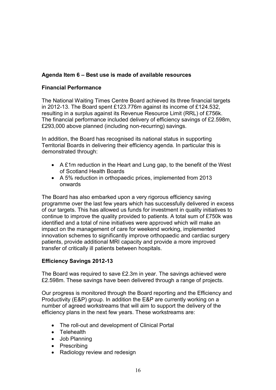## **Agenda Item 6 – Best use is made of available resources**

## **Financial Performance**

The National Waiting Times Centre Board achieved its three financial targets in 2012-13. The Board spent £123.776m against its income of £124.532, resulting in a surplus against its Revenue Resource Limit (RRL) of £756k. The financial performance included delivery of efficiency savings of £2.598m, £293,000 above planned (including non-recurring) savings.

In addition, the Board has recognised its national status in supporting Territorial Boards in delivering their efficiency agenda. In particular this is demonstrated through:

- A £1m reduction in the Heart and Lung gap, to the benefit of the West of Scotland Health Boards
- A 5% reduction in orthopaedic prices, implemented from 2013 onwards

The Board has also embarked upon a very rigorous efficiency saving programme over the last few years which has successfully delivered in excess of our targets. This has allowed us funds for investment in quality initiatives to continue to improve the quality provided to patients. A total sum of £750k was identified and a total of nine initiatives were approved which will make an impact on the management of care for weekend working, implemented innovation schemes to significantly improve orthopaedic and cardiac surgery patients, provide additional MRI capacity and provide a more improved transfer of critically ill patients between hospitals.

### **Efficiency Savings 2012-13**

The Board was required to save £2.3m in year. The savings achieved were £2.598m. These savings have been delivered through a range of projects.

Our progress is monitored through the Board reporting and the Efficiency and Productivity (E&P) group. In addition the E&P are currently working on a number of agreed workstreams that will aim to support the delivery of the efficiency plans in the next few years. These workstreams are:

- The roll-out and development of Clinical Portal
- Telehealth
- Job Planning
- Prescribing
- Radiology review and redesign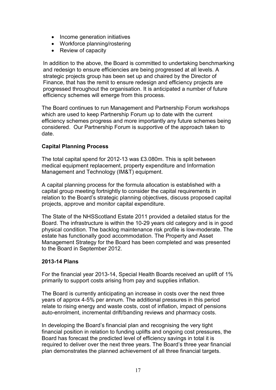- Income generation initiatives
- Workforce planning/rostering
- Review of capacity

In addition to the above, the Board is committed to undertaking benchmarking and redesign to ensure efficiencies are being progressed at all levels. A strategic projects group has been set up and chaired by the Director of Finance, that has the remit to ensure redesign and efficiency projects are progressed throughout the organisation. It is anticipated a number of future efficiency schemes will emerge from this process.

The Board continues to run Management and Partnership Forum workshops which are used to keep Partnership Forum up to date with the current efficiency schemes progress and more importantly any future schemes being considered. Our Partnership Forum is supportive of the approach taken to date.

## **Capital Planning Process**

The total capital spend for 2012-13 was £3.080m. This is split between medical equipment replacement, property expenditure and Information Management and Technology (IM&T) equipment.

A capital planning process for the formula allocation is established with a capital group meeting fortnightly to consider the capital requirements in relation to the Board's strategic planning objectives, discuss proposed capital projects, approve and monitor capital expenditure.

The State of the NHSScotland Estate 2011 provided a detailed status for the Board. The infrastructure is within the 10-29 years old category and is in good physical condition. The backlog maintenance risk profile is low-moderate. The estate has functionally good accommodation. The Property and Asset Management Strategy for the Board has been completed and was presented to the Board in September 2012.

### **2013-14 Plans**

For the financial year 2013-14, Special Health Boards received an uplift of 1% primarily to support costs arising from pay and supplies inflation.

The Board is currently anticipating an increase in costs over the next three years of approx 4-5% per annum. The additional pressures in this period relate to rising energy and waste costs, cost of inflation, impact of pensions auto-enrolment, incremental drift/banding reviews and pharmacy costs.

In developing the Board's financial plan and recognising the very tight financial position in relation to funding uplifts and ongoing cost pressures, the Board has forecast the predicted level of efficiency savings in total it is required to deliver over the next three years. The Board's three year financial plan demonstrates the planned achievement of all three financial targets.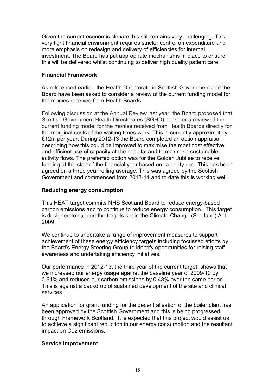Given the current economic climate this still remains very challenging. This very tight financial environment requires stricter control on expenditure and more emphasis on redesign and delivery of efficiencies for internal investment. The Board has put appropriate mechanisms in place to ensure this will be delivered whilst continuing to deliver high quality patient care.

## **Financial Framework**

As referenced earlier, the Health Directorate in Scottish Government and the Board have been asked to consider a review of the current funding model for the monies received from Health Boards

Following discussion at the Annual Review last year, the Board proposed that Scottish Government Health Directorates (SGHD) consider a review of the current funding model for the monies received from Health Boards directly for the marginal costs of the waiting times work. This is currently approximately £12m per year. During 2012-13 the Board completed an option appraisal describing how this could be improved to maximise the most cost effective and efficient use of capacity at the hospital and to maximise sustainable activity flows. The preferred option was for the Golden Jubilee to receive funding at the start of the financial year based on capacity use. This has been agreed on a three year rolling average. This was agreed by the Scottish Government and commenced from 2013-14 and to date this is working well.

### **Reducing energy consumption**

This HEAT target commits NHS Scotland Board to reduce energy-based carbon emissions and to continue to reduce energy consumption. This target is designed to support the targets set in the Climate Change (Scotland) Act 2009.

We continue to undertake a range of improvement measures to support achievement of these energy efficiency targets including focussed efforts by the Board's Energy Steering Group to identify opportunities for raising staff awareness and undertaking efficiency initiatives.

Our performance in 2012-13, the third year of the current target, shows that we increased our energy usage against the baseline year of 2009-10 by 0.61% and reduced our carbon emissions by 0.48% over the same period. This is against a backdrop of sustained development of the site and clinical services.

An application for grant funding for the decentralisation of the boiler plant has been approved by the Scottish Government and this is being progressed through Framework Scotland. It is expected that this project would assist us to achieve a significant reduction in our energy consumption and the resultant impact on C02 emissions.

### **Service Improvement**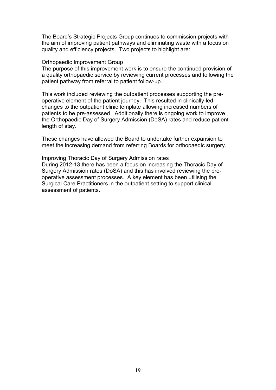The Board's Strategic Projects Group continues to commission projects with the aim of improving patient pathways and eliminating waste with a focus on quality and efficiency projects. Two projects to highlight are:

#### Orthopaedic Improvement Group

The purpose of this improvement work is to ensure the continued provision of a quality orthopaedic service by reviewing current processes and following the patient pathway from referral to patient follow-up.

This work included reviewing the outpatient processes supporting the preoperative element of the patient journey. This resulted in clinically-led changes to the outpatient clinic template allowing increased numbers of patients to be pre-assessed. Additionally there is ongoing work to improve the Orthopaedic Day of Surgery Admission (DoSA) rates and reduce patient length of stay.

These changes have allowed the Board to undertake further expansion to meet the increasing demand from referring Boards for orthopaedic surgery.

#### Improving Thoracic Day of Surgery Admission rates

During 2012-13 there has been a focus on increasing the Thoracic Day of Surgery Admission rates (DoSA) and this has involved reviewing the preoperative assessment processes. A key element has been utilising the Surgical Care Practitioners in the outpatient setting to support clinical assessment of patients.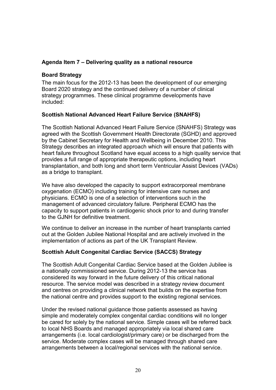## **Agenda Item 7 – Delivering quality as a national resource**

## **Board Strategy**

The main focus for the 2012-13 has been the development of our emerging Board 2020 strategy and the continued delivery of a number of clinical strategy programmes. These clinical programme developments have included:

## **Scottish National Advanced Heart Failure Service (SNAHFS)**

The Scottish National Advanced Heart Failure Service (SNAHFS) Strategy was agreed with the Scottish Government Health Directorate (SGHD) and approved by the Cabinet Secretary for Health and Wellbeing in December 2010. This Strategy describes an integrated approach which will ensure that patients with heart failure throughout Scotland have equal access to a high quality service that provides a full range of appropriate therapeutic options, including heart transplantation, and both long and short term Ventricular Assist Devices (VADs) as a bridge to transplant.

We have also developed the capacity to support extracorporeal membrane oxygenation (ECMO) including training for intensive care nurses and physicians. ECMO is one of a selection of interventions such in the management of advanced circulatory failure. Peripheral ECMO has the capacity to support patients in cardiogenic shock prior to and during transfer to the GJNH for definitive treatment

We continue to deliver an increase in the number of heart transplants carried out at the Golden Jubilee National Hospital and are actively involved in the implementation of actions as part of the UK Transplant Review.

## **Scottish Adult Congenital Cardiac Service (SACCS) Strategy**

The Scottish Adult Congenital Cardiac Service based at the Golden Jubilee is a nationally commissioned service. During 2012-13 the service has considered its way forward in the future delivery of this critical national resource. The service model was described in a strategy review document and centres on providing a clinical network that builds on the expertise from the national centre and provides support to the existing regional services.

Under the revised national guidance those patients assessed as having simple and moderately complex congenital cardiac conditions will no longer be cared for solely by the national service. Simple cases will be referred back to local NHS Boards and managed appropriately via local shared care arrangements (i.e. local cardiologist/primary care) or be discharged from the service. Moderate complex cases will be managed through shared care arrangements between a local/regional services with the national service.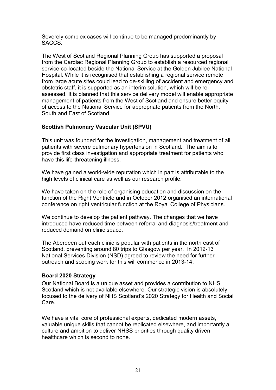Severely complex cases will continue to be managed predominantly by SACCS.

The West of Scotland Regional Planning Group has supported a proposal from the Cardiac Regional Planning Group to establish a resourced regional service co-located beside the National Service at the Golden Jubilee National Hospital. While it is recognised that establishing a regional service remote from large acute sites could lead to de-skilling of accident and emergency and obstetric staff, it is supported as an interim solution, which will be reassessed. It is planned that this service delivery model will enable appropriate management of patients from the West of Scotland and ensure better equity of access to the National Service for appropriate patients from the North, South and East of Scotland.

## **Scottish Pulmonary Vascular Unit (SPVU)**

This unit was founded for the investigation, management and treatment of all patients with severe pulmonary hypertension in Scotland. The aim is to provide first class investigation and appropriate treatment for patients who have this life-threatening illness.

We have gained a world-wide reputation which in part is attributable to the high levels of clinical care as well as our research profile.

We have taken on the role of organising education and discussion on the function of the Right Ventricle and in October 2012 organised an international conference on right ventricular function at the Royal College of Physicians.

We continue to develop the patient pathway. The changes that we have introduced have reduced time between referral and diagnosis/treatment and reduced demand on clinic space.

The Aberdeen outreach clinic is popular with patients in the north east of Scotland, preventing around 80 trips to Glasgow per year. In 2012-13 National Services Division (NSD) agreed to review the need for further outreach and scoping work for this will commence in 2013-14.

## **Board 2020 Strategy**

Our National Board is a unique asset and provides a contribution to NHS Scotland which is not available elsewhere. Our strategic vision is absolutely focused to the delivery of NHS Scotland's 2020 Strategy for Health and Social Care.

We have a vital core of professional experts, dedicated modern assets, valuable unique skills that cannot be replicated elsewhere, and importantly a culture and ambition to deliver NHSS priorities through quality driven healthcare which is second to none.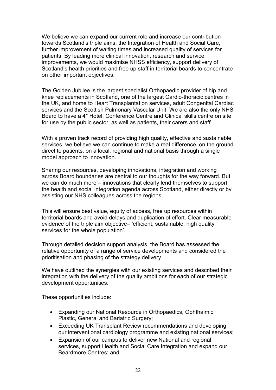We believe we can expand our current role and increase our contribution towards Scotland's triple aims, the Integration of Health and Social Care, further improvement of waiting times and increased quality of services for patients. By leading more clinical innovation, research and service improvements, we would maximise NHSS efficiency, support delivery of Scotland's health priorities and free up staff in territorial boards to concentrate on other important objectives.

The Golden Jubilee is the largest specialist Orthopaedic provider of hip and knee replacements in Scotland, one of the largest Cardio-thoracic centres in the UK, and home to Heart Transplantation services, adult Congenital Cardiac services and the Scottish Pulmonary Vascular Unit. We are also the only NHS Board to have a 4\* Hotel, Conference Centre and Clinical skills centre on site for use by the public sector, as well as patients, their carers and staff.

With a proven track record of providing high quality, effective and sustainable services, we believe we can continue to make a real difference, on the ground direct to patients, on a local, regional and national basis through a single model approach to innovation.

Sharing our resources, developing innovations, integration and working across Board boundaries are central to our thoughts for the way forward. But we can do much more – innovations that clearly lend themselves to support the health and social integration agenda across Scotland, either directly or by assisting our NHS colleagues across the regions.

This will ensure best value, equity of access, free up resources within territorial boards and avoid delays and duplication of effort. Clear measurable evidence of the triple aim objective– 'efficient, sustainable, high quality services for the whole population'.

Through detailed decision support analysis, the Board has assessed the relative opportunity of a range of service developments and considered the prioritisation and phasing of the strategy delivery.

We have outlined the synergies with our existing services and described their integration with the delivery of the quality ambitions for each of our strategic development opportunities.

These opportunities include:

- Expanding our National Resource in Orthopaedics, Ophthalmic, Plastic, General and Bariatric Surgery;
- Exceeding UK Transplant Review recommendations and developing our interventional cardiology programme and existing national services;
- Expansion of our campus to deliver new National and regional services, support Health and Social Care Integration and expand our Beardmore Centres; and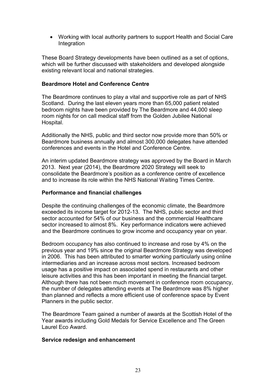• Working with local authority partners to support Health and Social Care Integration

These Board Strategy developments have been outlined as a set of options, which will be further discussed with stakeholders and developed alongside existing relevant local and national strategies.

#### **Beardmore Hotel and Conference Centre**

The Beardmore continues to play a vital and supportive role as part of NHS Scotland. During the last eleven years more than 65,000 patient related bedroom nights have been provided by The Beardmore and 44,000 sleep room nights for on call medical staff from the Golden Jubilee National Hospital.

Additionally the NHS, public and third sector now provide more than 50% or Beardmore business annually and almost 300,000 delegates have attended conferences and events in the Hotel and Conference Centre.

An interim updated Beardmore strategy was approved by the Board in March 2013. Next year (2014), the Beardmore 2020 Strategy will seek to consolidate the Beardmore's position as a conference centre of excellence and to increase its role within the NHS National Waiting Times Centre.

## **Performance and financial challenges**

Despite the continuing challenges of the economic climate, the Beardmore exceeded its income target for 2012-13. The NHS, public sector and third sector accounted for 54% of our business and the commercial Healthcare sector increased to almost 8%. Key performance indicators were achieved and the Beardmore continues to grow income and occupancy year on year.

Bedroom occupancy has also continued to increase and rose by 4% on the previous year and 19% since the original Beardmore Strategy was developed in 2006. This has been attributed to smarter working particularly using online intermediaries and an increase across most sectors. Increased bedroom usage has a positive impact on associated spend in restaurants and other leisure activities and this has been important in meeting the financial target. Although there has not been much movement in conference room occupancy, the number of delegates attending events at The Beardmore was 8% higher than planned and reflects a more efficient use of conference space by Event Planners in the public sector.

The Beardmore Team gained a number of awards at the Scottish Hotel of the Year awards including Gold Medals for Service Excellence and The Green Laurel Eco Award.

#### **Service redesign and enhancement**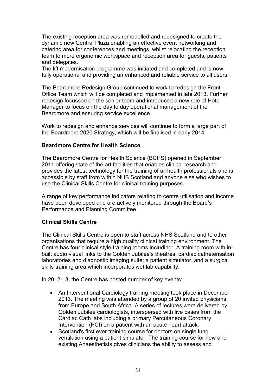The existing reception area was remodelled and redesigned to create the dynamic new Central Plaza enabling an effective event networking and catering area for conferences and meetings, whilst relocating the reception team to more ergonomic workspace and reception area for guests, patients and delegates.

The lift modernisation programme was initiated and completed and is now fully operational and providing an enhanced and reliable service to all users.

The Beardmore Redesign Group continued to work to redesign the Front Office Team which will be completed and implemented in late 2013. Further redesign focussed on the senior team and introduced a new role of Hotel Manager to focus on the day to day operational management of the Beardmore and ensuring service excellence.

Work to redesign and enhance services will continue to form a large part of the Beardmore 2020 Strategy, which will be finalised in early 2014.

### **Beardmore Centre for Health Science**

The Beardmore Centre for Health Science (BCHS) opened in September 2011 offering state of the art facilities that enables clinical research and provides the latest technology for the training of all health professionals and is accessible by staff from within NHS Scotland and anyone else who wishes to use the Clinical Skills Centre for clinical training purposes.

A range of key performance indicators relating to centre utilisation and income have been developed and are actively monitored through the Board's Performance and Planning Committee.

### **Clinical Skills Centre**

The Clinical Skills Centre is open to staff across NHS Scotland and to other organisations that require a high quality clinical training environment. The Centre has four clinical style training rooms including: A training room with inbuilt audio visual links to the Golden Jubilee's theatres, cardiac catheterisation laboratories and diagnostic imaging suite; a patient simulator, and a surgical skills training area which incorporates wet lab capability.

In 2012-13, the Centre has hosted number of key events:

- An Interventional Cardiology training meeting took place in December 2013. The meeting was attended by a group of 20 invited physicians from Europe and South Africa. A series of lectures were delivered by Golden Jubilee cardiologists, interspersed with live cases from the Cardiac Cath labs including a primary Percutaneous Coronary Intervention (PCI) on a patient with an acute heart attack.
- Scotland's first ever training course for doctors on single lung ventilation using a patient simulator. The training course for new and existing Anaesthetists gives clinicians the ability to assess and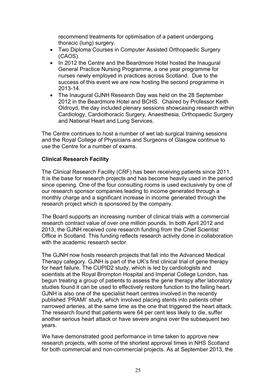recommend treatments for optimisation of a patient undergoing thoracic (lung) surgery.

- Two Diploma Courses in Computer Assisted Orthopaedic Surgery (CAOS).
- In 2012 the Centre and the Beardmore Hotel hosted the Inaugural General Practice Nursing Programme, a one year programme for nurses newly employed in practices across Scotland. Due to the success of this event we are now hosting the second programme in 2013-14.
- The Inaugural GJNH Research Day was held on the 28 September 2012 in the Beardmore Hotel and BCHS. Chaired by Professor Keith Oldroyd, the day included plenary sessions showcasing research within Cardiology, Cardiothoracic Surgery, Anaesthesia, Orthopaedic Surgery and National Heart and Lung Services.

The Centre continues to host a number of wet lab surgical training sessions and the Royal College of Physicians and Surgeons of Glasgow continue to use the Centre for a number of exams.

## **Clinical Research Facility**

The Clinical Research Facility (CRF) has been receiving patients since 2011. It is the base for research projects and has become heavily used in the period since opening. One of the four consulting rooms is used exclusively by one of our research sponsor companies leading to income generated through a monthly charge and a significant increase in income generated through the research project which is sponsored by the company.

The Board supports an increasing number of clinical trials with a commercial research contract value of over one million pounds. In both April 2012 and 2013, the GJNH received core research funding from the Chief Scientist Office in Scotland. This funding reflects research activity done in collaboration with the academic research sector.

The GJNH now hosts research projects that fall into the Advanced Medical Therapy category. GJNH is part of the UK's first clinical trial of gene therapy for heart failure. The CUPID2 study, which is led by cardiologists and scientists at the Royal Brompton Hospital and Imperial College London, has begun treating a group of patients to assess the gene therapy after laboratory studies found it can be used to effectively restore function to the failing heart. GJNH is also one of the specialist heart centres involved in the recently published 'PRAMI' study, which involved placing stents into patients other narrowed arteries, at the same time as the one that triggered the heart attack. The research found that patients were 64 per cent less likely to die, suffer another serious heart attack or have severe angina over the subsequent two years.

We have demonstrated good performance in time taken to approve new research projects, with some of the shortest approval times in NHS Scotland for both commercial and non-commercial projects. As at September 2013, the